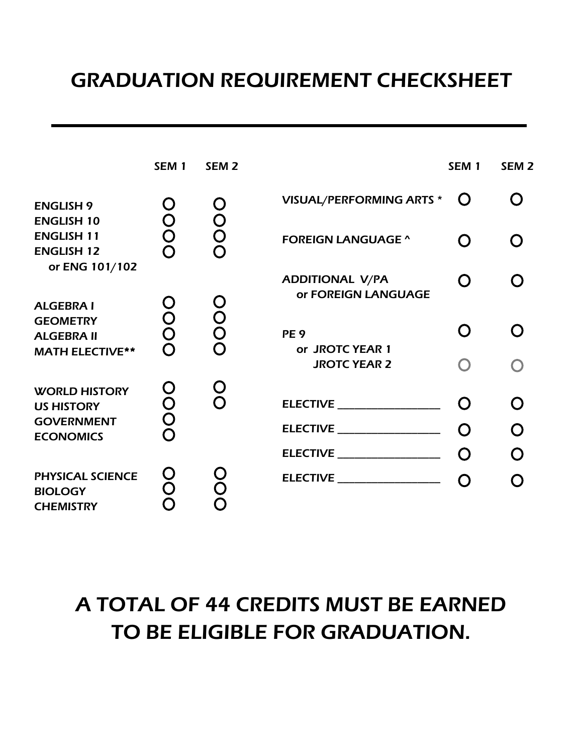## GRADUATION REQUIREMENT CHECKSHEET

|                                                                | SEM <sub>1</sub> | SEM <sub>2</sub> |                                               | SEM <sub>1</sub> | SEM <sub>2</sub> |
|----------------------------------------------------------------|------------------|------------------|-----------------------------------------------|------------------|------------------|
| <b>ENGLISH 9</b><br><b>ENGLISH 10</b>                          | O                | O                | <b>VISUAL/PERFORMING ARTS *</b>               | $\Omega$         |                  |
| <b>ENGLISH 11</b><br><b>ENGLISH 12</b>                         | Ŏ<br>O<br>O      | OOO              | <b>FOREIGN LANGUAGE ^</b>                     | $\Omega$         |                  |
| or ENG 101/102<br><b>ALGEBRA I</b>                             |                  |                  | <b>ADDITIONAL V/PA</b><br>or FOREIGN LANGUAGE | O                |                  |
| <b>GEOMETRY</b><br><b>ALGEBRA II</b><br><b>MATH ELECTIVE**</b> | OOO              | OOOO             | PE <sub>9</sub><br>or JROTC YEAR 1            | O                |                  |
|                                                                |                  |                  | <b>JROTC YEAR 2</b>                           |                  |                  |
| <b>WORLD HISTORY</b><br><b>US HISTORY</b>                      | <b>OOOO</b>      | O<br>O           | ELECTIVE ___________________                  |                  |                  |
| <b>GOVERNMENT</b><br><b>ECONOMICS</b>                          |                  |                  | ELECTIVE __________________                   | $\Omega$         | O                |
|                                                                |                  |                  | <b>ELECTIVE ____________________</b>          | $\Omega$         | O                |
| <b>PHYSICAL SCIENCE</b><br><b>BIOLOGY</b><br><b>CHEMISTRY</b>  | <b>OO</b><br>O   |                  | ELECTIVE __________________                   |                  |                  |

## A TOTAL OF 44 CREDITS MUST BE EARNED TO BE ELIGIBLE FOR GRADUATION.